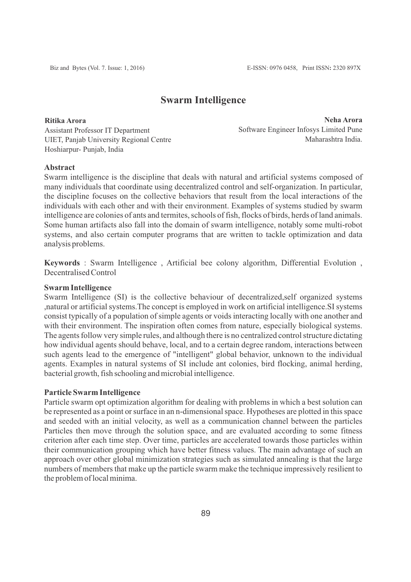# **Swarm Intelligence**

#### **Ritika Arora**

Assistant Professor IT Department UIET, Panjab University Regional Centre Hoshiarpur- Punjab, India

**Neha Arora** Software Engineer Infosys Limited Pune Maharashtra India.

### **Abstract**

Swarm intelligence is the discipline that deals with natural and artificial systems composed of many individuals that coordinate using decentralized control and self-organization. In particular, the discipline focuses on the collective behaviors that result from the local interactions of the individuals with each other and with their environment. Examples of systems studied by swarm intelligence are colonies of ants and termites, schools of fish, flocks of birds, herds of land animals. Some human artifacts also fall into the domain of swarm intelligence, notably some multi-robot systems, and also certain computer programs that are written to tackle optimization and data analysis problems.

**Keywords** : Swarm Intelligence , Artificial bee colony algorithm, Differential Evolution , Decentralised Control

## **Swarm Intelligence**

Swarm Intelligence (SI) is the collective behaviour of decentralized,self organized systems ,natural or artificial systems.The concept is employed in work on artificial intelligence.SI systems consist typically of a population of simple agents or voids interacting locally with one another and with their environment. The inspiration often comes from nature, especially biological systems. The agents follow very simple rules, and although there is no centralized control structure dictating how individual agents should behave, local, and to a certain degree random, interactions between such agents lead to the emergence of "intelligent" global behavior, unknown to the individual agents. Examples in natural systems of SI include ant colonies, bird flocking, animal herding, bacterial growth, fish schooling and microbial intelligence.

### **Particle Swarm Intelligence**

Particle swarm opt optimization algorithm for dealing with problems in which a best solution can be represented as a point or surface in an n-dimensional space. Hypotheses are plotted in this space and seeded with an initial velocity, as well as a communication channel between the particles Particles then move through the solution space, and are evaluated according to some fitness criterion after each time step. Over time, particles are accelerated towards those particles within their communication grouping which have better fitness values. The main advantage of such an approach over other global minimization strategies such as simulated annealing is that the large numbers of members that make up the particle swarm make the technique impressively resilient to the problem of local minima.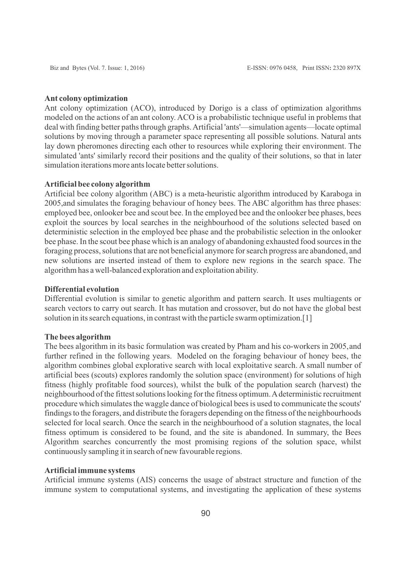#### **Ant colony optimization**

Ant colony optimization (ACO), introduced by Dorigo is a class of optimization algorithms modeled on the actions of an ant colony. ACO is a probabilistic technique useful in problems that deal with finding better paths through graphs. Artificial 'ants'—simulation agents—locate optimal solutions by moving through a parameter space representing all possible solutions. Natural ants lay down pheromones directing each other to resources while exploring their environment. The simulated 'ants' similarly record their positions and the quality of their solutions, so that in later simulation iterations more ants locate better solutions.

# **Artificial bee colony algorithm**

Artificial bee colony algorithm (ABC) is a meta-heuristic algorithm introduced by Karaboga in 2005,and simulates the foraging behaviour of honey bees. The ABC algorithm has three phases: employed bee, onlooker bee and scout bee. In the employed bee and the onlooker bee phases, bees exploit the sources by local searches in the neighbourhood of the solutions selected based on deterministic selection in the employed bee phase and the probabilistic selection in the onlooker bee phase. In the scout bee phase which is an analogy of abandoning exhausted food sources in the foraging process, solutions that are not beneficial anymore for search progress are abandoned, and new solutions are inserted instead of them to explore new regions in the search space. The algorithm has a well-balanced exploration and exploitation ability.

#### **Differential evolution**

Differential evolution is similar to genetic algorithm and pattern search. It uses multiagents or search vectors to carry out search. It has mutation and crossover, but do not have the global best solution in its search equations, in contrast with the particle swarm optimization.[1]

### **The bees algorithm**

The bees algorithm in its basic formulation was created by Pham and his co-workers in 2005, and further refined in the following years. Modeled on the foraging behaviour of honey bees, the algorithm combines global explorative search with local exploitative search. A small number of artificial bees (scouts) explores randomly the solution space (environment) for solutions of high fitness (highly profitable food sources), whilst the bulk of the population search (harvest) the neighbourhood of the fittest solutions looking for the fitness optimum. Adeterministic recruitment procedure which simulates the waggle dance of biological bees is used to communicate the scouts' findings to the foragers, and distribute the foragers depending on the fitness of the neighbourhoods selected for local search. Once the search in the neighbourhood of a solution stagnates, the local fitness optimum is considered to be found, and the site is abandoned. In summary, the Bees Algorithm searches concurrently the most promising regions of the solution space, whilst continuously sampling it in search of new favourable regions.

#### **Artificial immune systems**

Artificial immune systems (AIS) concerns the usage of abstract structure and function of the immune system to computational systems, and investigating the application of these systems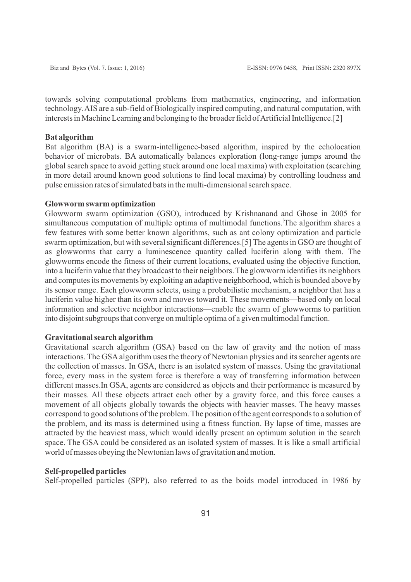towards solving computational problems from mathematics, engineering, and information technology. AIS are a sub-field of Biologically inspired computing, and natural computation, with interests in Machine Learning and belonging to the broader field of Artificial Intelligence.[2]

#### **Bat algorithm**

Bat algorithm (BA) is a swarm-intelligence-based algorithm, inspired by the echolocation behavior of microbats. BA automatically balances exploration (long-range jumps around the global search space to avoid getting stuck around one local maxima) with exploitation (searching in more detail around known good solutions to find local maxima) by controlling loudness and pulse emission rates of simulated bats in the multi-dimensional search space.

### **Glowworm swarm optimization**

Glowworm swarm optimization (GSO), introduced by Krishnanand and Ghose in 2005 for simultaneous computation of multiple optima of multimodal functions. The algorithm shares a few features with some better known algorithms, such as ant colony optimization and particle swarm optimization, but with several significant differences.[5] The agents in GSO are thought of as glowworms that carry a luminescence quantity called luciferin along with them. The glowworms encode the fitness of their current locations, evaluated using the objective function, into a luciferin value that they broadcast to their neighbors. The glowworm identifies its neighbors and computes its movements by exploiting an adaptive neighborhood, which is bounded above by its sensor range. Each glowworm selects, using a probabilistic mechanism, a neighbor that has a luciferin value higher than its own and moves toward it. These movements—based only on local information and selective neighbor interactions—enable the swarm of glowworms to partition into disjoint subgroups that converge on multiple optima of a given multimodal function.

### **Gravitational search algorithm**

Gravitational search algorithm (GSA) based on the law of gravity and the notion of mass interactions. The GSAalgorithm uses the theory of Newtonian physics and its searcher agents are the collection of masses. In GSA, there is an isolated system of masses. Using the gravitational force, every mass in the system force is therefore a way of transferring information between different masses.In GSA, agents are considered as objects and their performance is measured by their masses. All these objects attract each other by a gravity force, and this force causes a movement of all objects globally towards the objects with heavier masses. The heavy masses correspond to good solutions of the problem. The position of the agent corresponds to a solution of the problem, and its mass is determined using a fitness function. By lapse of time, masses are attracted by the heaviest mass, which would ideally present an optimum solution in the search space. The GSA could be considered as an isolated system of masses. It is like a small artificial world of masses obeying the Newtonian laws of gravitation and motion.

### **Self-propelled particles**

Self-propelled particles (SPP), also referred to as the boids model introduced in 1986 by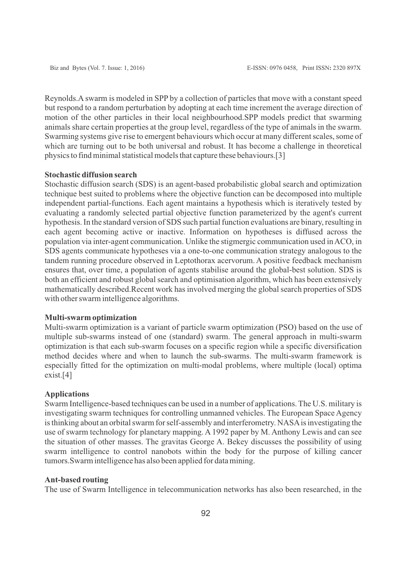Reynolds.A swarm is modeled in SPP by a collection of particles that move with a constant speed but respond to a random perturbation by adopting at each time increment the average direction of motion of the other particles in their local neighbourhood.SPP models predict that swarming animals share certain properties at the group level, regardless of the type of animals in the swarm. Swarming systems give rise to emergent behaviours which occur at many different scales, some of which are turning out to be both universal and robust. It has become a challenge in theoretical physics to find minimal statistical models that capture these behaviours.[3]

# **Stochastic diffusion search**

Stochastic diffusion search (SDS) is an agent-based probabilistic global search and optimization technique best suited to problems where the objective function can be decomposed into multiple independent partial-functions. Each agent maintains a hypothesis which is iteratively tested by evaluating a randomly selected partial objective function parameterized by the agent's current hypothesis. In the standard version of SDS such partial function evaluations are binary, resulting in each agent becoming active or inactive. Information on hypotheses is diffused across the population via inter-agent communication. Unlike the stigmergic communication used in ACO, in SDS agents communicate hypotheses via a one-to-one communication strategy analogous to the tandem running procedure observed in Leptothorax acervorum. A positive feedback mechanism ensures that, over time, a population of agents stabilise around the global-best solution. SDS is both an efficient and robust global search and optimisation algorithm, which has been extensively mathematically described.Recent work has involved merging the global search properties of SDS with other swarm intelligence algorithms.

### **Multi-swarm optimization**

Multi-swarm optimization is a variant of particle swarm optimization (PSO) based on the use of multiple sub-swarms instead of one (standard) swarm. The general approach in multi-swarm optimization is that each sub-swarm focuses on a specific region while a specific diversification method decides where and when to launch the sub-swarms. The multi-swarm framework is especially fitted for the optimization on multi-modal problems, where multiple (local) optima exist.[4]

# **Applications**

Swarm Intelligence-based techniques can be used in a number of applications. The U.S. military is investigating swarm techniques for controlling unmanned vehicles. The European Space Agency is thinking about an orbital swarm for self-assembly and interferometry. NASAis investigating the use of swarm technology for planetary mapping. A 1992 paper by M. Anthony Lewis and can see the situation of other masses. The gravitas George A. Bekey discusses the possibility of using swarm intelligence to control nanobots within the body for the purpose of killing cancer tumors.Swarm intelligence has also been applied for data mining.

# **Ant-based routing**

The use of Swarm Intelligence in telecommunication networks has also been researched, in the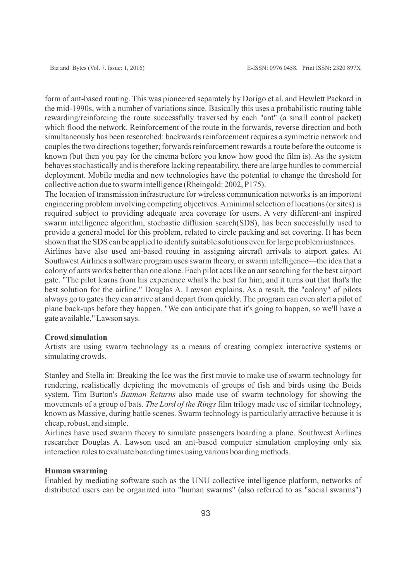form of ant-based routing. This was pioneered separately by Dorigo et al. and Hewlett Packard in the mid-1990s, with a number of variations since. Basically this uses a probabilistic routing table rewarding/reinforcing the route successfully traversed by each "ant" (a small control packet) which flood the network. Reinforcement of the route in the forwards, reverse direction and both simultaneously has been researched: backwards reinforcement requires a symmetric network and couples the two directions together; forwards reinforcement rewards a route before the outcome is known (but then you pay for the cinema before you know how good the film is). As the system behaves stochastically and is therefore lacking repeatability, there are large hurdles to commercial deployment. Mobile media and new technologies have the potential to change the threshold for collective action due to swarm intelligence (Rheingold: 2002, P175).

The location of transmission infrastructure for wireless communication networks is an important engineering problem involving competing objectives. Aminimal selection of locations (or sites) is required subject to providing adequate area coverage for users. A very different-ant inspired swarm intelligence algorithm, stochastic diffusion search(SDS), has been successfully used to provide a general model for this problem, related to circle packing and set covering. It has been shown that the SDS can be applied to identify suitable solutions even for large problem instances.

Airlines have also used ant-based routing in assigning aircraft arrivals to airport gates. At Southwest Airlines a software program uses swarm theory, or swarm intelligence—the idea that a colony of ants works better than one alone. Each pilot acts like an ant searching for the best airport gate. "The pilot learns from his experience what's the best for him, and it turns out that that's the best solution for the airline," Douglas A. Lawson explains. As a result, the "colony" of pilots always go to gates they can arrive at and depart from quickly. The program can even alert a pilot of plane back-ups before they happen. "We can anticipate that it's going to happen, so we'll have a gate available," Lawson says.

# **Crowd simulation**

Artists are using swarm technology as a means of creating complex interactive systems or simulating crowds.

Stanley and Stella in: Breaking the Ice was the first movie to make use of swarm technology for rendering, realistically depicting the movements of groups of fish and birds using the Boids system. Tim Burton's *Batman Returns* also made use of swarm technology for showing the movements of a group of bats. *The Lord of the Rings* film trilogy made use of similar technology, known as Massive, during battle scenes. Swarm technology is particularly attractive because it is cheap, robust, and simple.

Airlines have used swarm theory to simulate passengers boarding a plane. Southwest Airlines researcher Douglas A. Lawson used an ant-based computer simulation employing only six interaction rules to evaluate boarding times using various boarding methods.

#### **Human swarming**

Enabled by mediating software such as the UNU collective intelligence platform, networks of distributed users can be organized into "human swarms" (also referred to as "social swarms")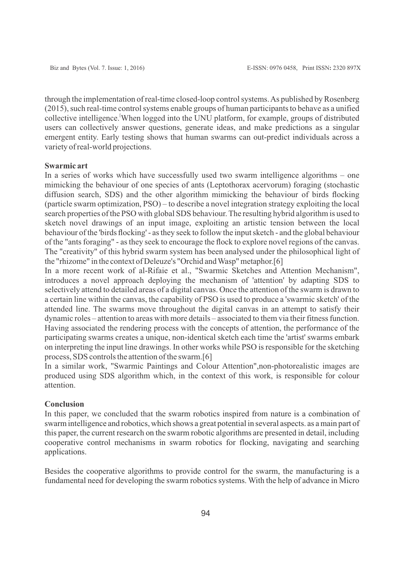through the implementation of real-time closed-loop control systems. As published by Rosenberg (2015), such real-time control systems enable groups of human participants to behave as a unified collective intelligence. When logged into the UNU platform, for example, groups of distributed users can collectively answer questions, generate ideas, and make predictions as a singular emergent entity. Early testing shows that human swarms can out-predict individuals across a variety of real-world projections.

# **Swarmic art**

In a series of works which have successfully used two swarm intelligence algorithms – one mimicking the behaviour of one species of ants (Leptothorax acervorum) foraging (stochastic diffusion search, SDS) and the other algorithm mimicking the behaviour of birds flocking (particle swarm optimization, PSO) – to describe a novel integration strategy exploiting the local search properties of the PSO with global SDS behaviour. The resulting hybrid algorithm is used to sketch novel drawings of an input image, exploiting an artistic tension between the local behaviour of the 'birds flocking' - as they seek to follow the input sketch - and the global behaviour of the "ants foraging" - as they seek to encourage the flock to explore novel regions of the canvas. The "creativity" of this hybrid swarm system has been analysed under the philosophical light of the "rhizome" in the context of Deleuze's "Orchid and Wasp" metaphor.[6]

In a more recent work of al-Rifaie et al., "Swarmic Sketches and Attention Mechanism", introduces a novel approach deploying the mechanism of 'attention' by adapting SDS to selectively attend to detailed areas of a digital canvas. Once the attention of the swarm is drawn to a certain line within the canvas, the capability of PSO is used to produce a 'swarmic sketch' of the attended line. The swarms move throughout the digital canvas in an attempt to satisfy their dynamic roles – attention to areas with more details – associated to them via their fitness function. Having associated the rendering process with the concepts of attention, the performance of the participating swarms creates a unique, non-identical sketch each time the 'artist' swarms embark on interpreting the input line drawings. In other works while PSO is responsible for the sketching process, SDS controls the attention of the swarm.[6]

In a similar work, "Swarmic Paintings and Colour Attention",non-photorealistic images are produced using SDS algorithm which, in the context of this work, is responsible for colour attention.

# **Conclusion**

In this paper, we concluded that the swarm robotics inspired from nature is a combination of swarm intelligence and robotics, which shows a great potential in several aspects. as a main part of this paper, the current research on the swarm robotic algorithms are presented in detail, including cooperative control mechanisms in swarm robotics for flocking, navigating and searching applications.

Besides the cooperative algorithms to provide control for the swarm, the manufacturing is a fundamental need for developing the swarm robotics systems. With the help of advance in Micro